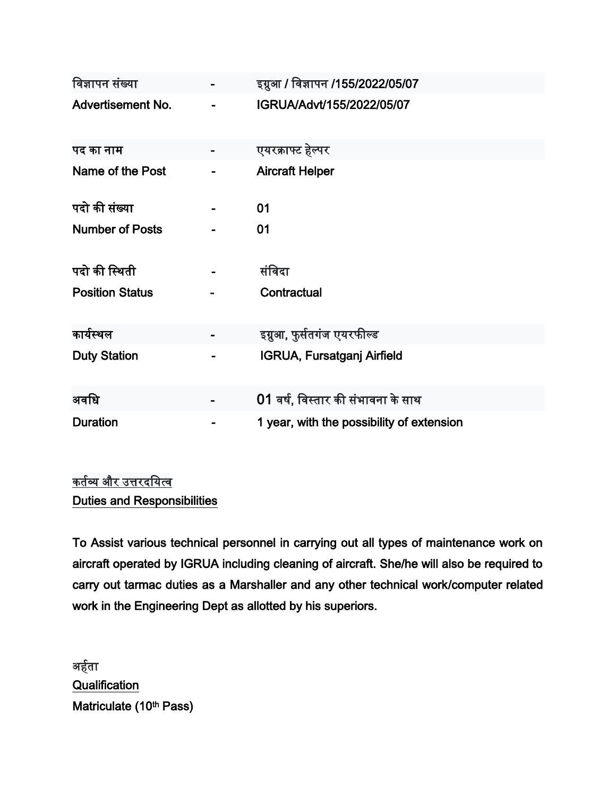| विज्ञापन संख्या          | इग्रुआ / विज्ञापन /155/2022/05/07         |
|--------------------------|-------------------------------------------|
| <b>Advertisement No.</b> | IGRUA/Advt/155/2022/05/07                 |
| पद का नाम                | एयरक्राफ्ट हेल्पर                         |
| Name of the Post         | <b>Aircraft Helper</b>                    |
| पदो की संख्या            | 01                                        |
| <b>Number of Posts</b>   | 01                                        |
| पदो की स्थिती            | संविदा                                    |
| <b>Position Status</b>   | Contractual                               |
| कार्यस्थल                | इग्नुआ, फुर्सतगंज एयरफील्ड                |
| <b>Duty Station</b>      | <b>IGRUA, Fursatganj Airfield</b>         |
| अवधि                     | 01 वर्ष, विस्तार की संभावना के साथ        |
| <b>Duration</b>          | 1 year, with the possibility of extension |

## <u>कर्तव्य और उत्तरदयित्व</u> Duties and Responsibilities

To Assist various technical personnel in carrying out all types of maintenance work on aircraft operated by IGRUA including cleaning of aircraft. She/he will also be required to carry out tarmac duties as a Marshaller and any other technical work/computer related work in the Engineering Dept as allotted by his superiors.

अर्हता **Qualification** Matriculate (10th Pass)